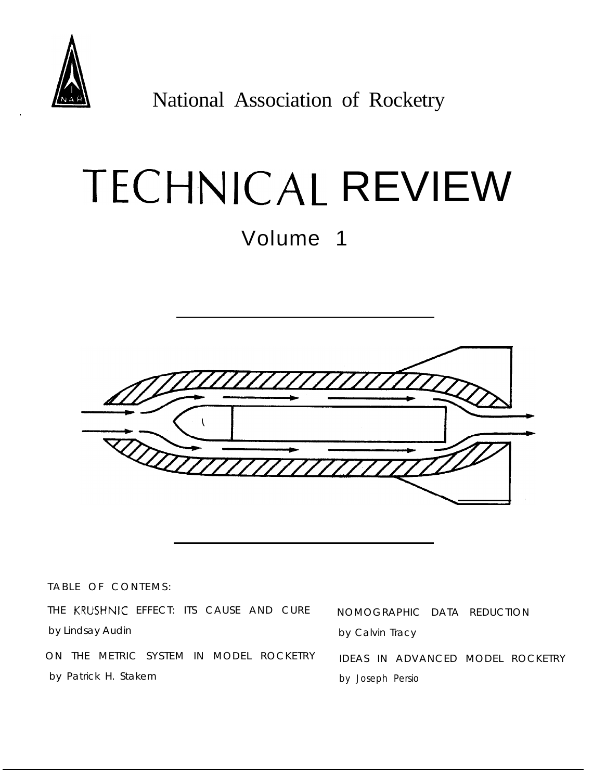

**A.** National Association of Rocketry

# TECHNICAL REVIEW

Volume 1



TABLE OF CONTEMS:

THE KRUSHNIC EFFECT: ITS CAUSE AND CURE NOMOGRAPHIC DATA REDUCTION by Lindsay Audin **by Calvin Tracy** 

by Patrick H. Stakem by Joseph Persio

ON THE METRIC SYSTEM IN MODEL ROCKETRY IDEAS IN ADVANCED MODEL ROCKETRY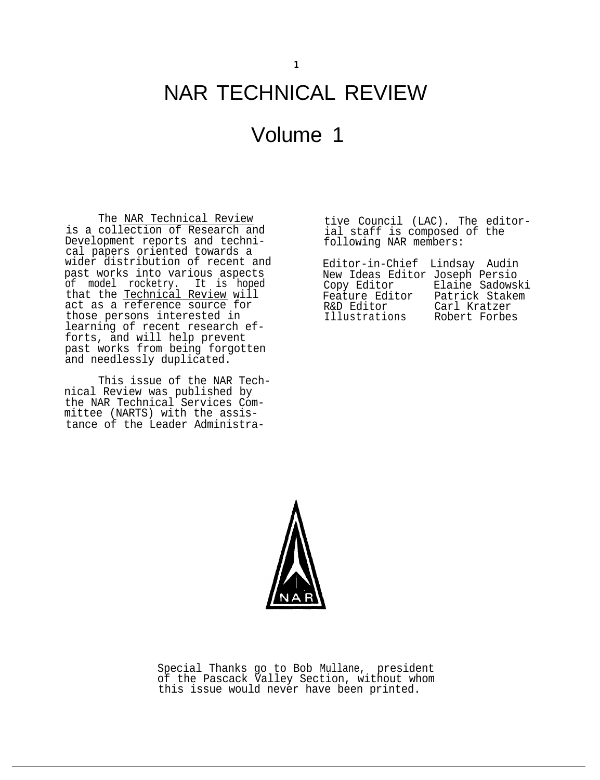# NAR TECHNICAL REVIEW

# Volume 1

The NAR Technical Review is a collection of Research and Development reports and technical papers oriented towards a wider distribution of recent and past works into various aspects of model rocketry. It is hoped that the <u>Technical Review</u> will act as a reference source for those persons interested in learning of recent research efforts, and will help prevent past works from being forgotten and needlessly duplicated.

This issue of the NAR Technical Review was published by the NAR Technical Services Committee (NARTS) with the assistance of the Leader Administrative Council (LAC). The editorial staff is composed of the following NAR members:

Editor-in-Chief Lindsay Audin New Ideas Editor Joseph Persio Copy Editor Elaine Sadowski Feature Editor Patrick Stakem R&D Editor Carl Kratzer<br>Illustrations Robert Forbes Illustrations



Special Thanks go to Bob Mullane, president of the Pascack Valley Section, without whom this issue would never have been printed.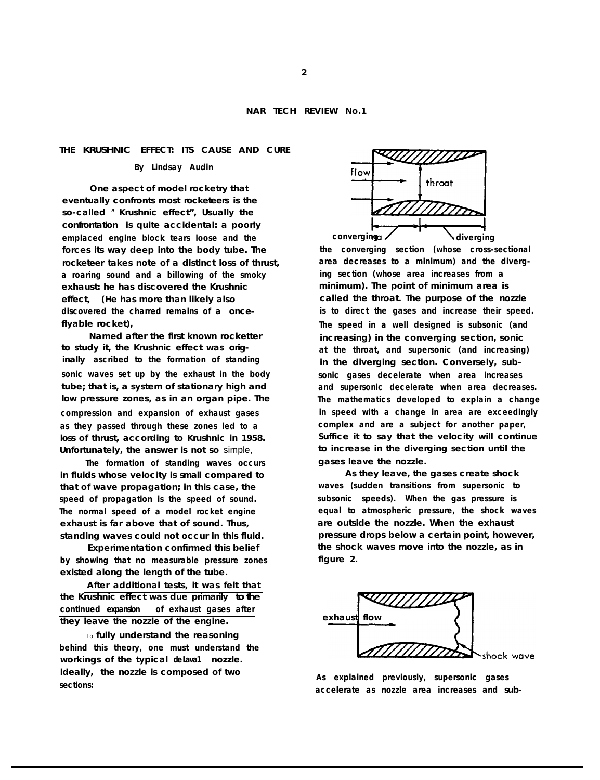## **THE KRUSHNIC EFFECT: ITS CAUSE AND CURE**

## **By Lindsay Audin**

**One aspect of model rocketry that eventually confronts most rocketeers is the so-called " Krushnic effect", Usually the confrontation is quite accidental: a poorly emplaced engine block tears loose and the forces its way deep into the body tube. The rocketeer takes note of a distinct loss of thrust, a roaring sound and a billowing of the smoky exhaust: he has discovered the Krushnic effect, (He has more than likely also discovered the charred remains of a onceflyable rocket),**

**Named after the first known rocketter to study it, the Krushnic effect was originally ascribed to the formation of standing sonic waves set up by the exhaust in the body tube; that is, a system of stationary high and low pressure zones, as in an organ pipe. The compression and expansion of exhaust gases as they passed through these zones led to a loss of thrust, according to Krushnic in 1958. Unfortunately, the answer is not so** simple,

**The formation of standing waves occurs in fluids whose velocity is small compared to that of wave propagation; in this case, the speed of propagation is the speed of sound. The normal speed of a model rocket engine exhaust is far above that of sound. Thus, standing waves could not occur in this fluid.**

**Experimentation confirmed this belief by showing that no measurable pressure zones existed along the length of the tube.**

**After additional tests, it was felt that the Krushnic effect was due primarily to the continued expansion of exhaust gases after they leave the nozzle of the engine.**

To **fully understand the reasoning behind this theory, one must understand the** workings of the typical delava1 nozzle. **ldeally, the nozzle is composed of two sections:**



**the converging section (whose cross-sectional area decreases to a minimum) and the diverging section (whose area increases from a minimum). The point of minimum area is called the throat. The purpose of the nozzle is to direct the gases and increase their speed. The speed in a well designed is subsonic (and increasing) in the converging section, sonic at the throat, and supersonic (and increasing) in the diverging section. Conversely, subsonic gases decelerate when area increases and supersonic decelerate when area decreases. The mathematics developed to explain a change in speed with a change in area are exceedingly complex and are a subject for another paper, Suffice it to say that the velocity will continue to increase in the diverging section until the gases leave the nozzle.**

**As they leave, the gases create shock waves (sudden transitions from supersonic to subsonic speeds). When the gas pressure is equal to atmospheric pressure, the shock waves are outside the nozzle. When the exhaust pressure drops below a certain point, however, the shock waves move into the nozzle, as in figure 2.**



**As explained previously, supersonic gases accelerate as nozzle area increases and sub-**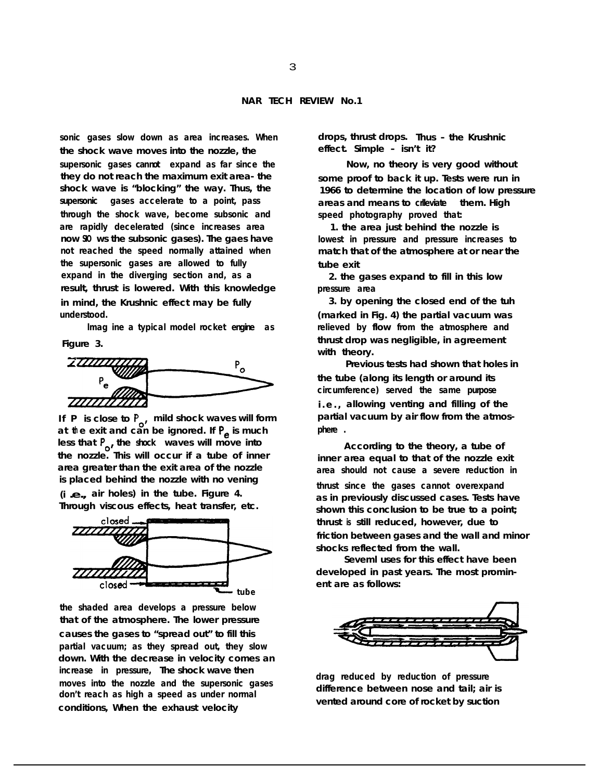**sonic gases slow down as area increases. When the shock wave moves into the nozzle, the supersonic gases can not expand as far since the they do not reach the maximum exit area- the shock wave is "blocking" the way. Thus, the supersonic gases accelerate to a point, pass through the shock wave, become subsonic and are rapidly decelerated (since increases area now SIO ws the subsonic gases). The gaes have not reached the speed normally attained when the supersonic gases are allowed to fully expand in the diverging section and, as a result, thrust is lowered. With this knowledge in mind, the Krushnic effect may be fully understood.**

**lmag ine a typical model rocket engine as Figure 3.**

2777777  $P_{o}$ 

If P is close to P<sub>s</sub>, mild shock waves will form **h at t e exit and can be ignored. If P, is much** less that P<sub>o</sub>, the shock waves will move into **the nozzle. This will occur if a tube of inner area greater than the exit area of the nozzle is placed behind the nozzle with no vening**

**(i .e., air holes) in the tube. Figure 4. Through viscous effects, heat transfer, etc.**



**the shaded area develops a pressure below that of the atmosphere. The lower pressure causes the gases to "spread out" to fill this partial vacuum; as they spread out, they slow down. With the decrease in velocity comes an increase in pressure, The shock wave then moves into the nozzle and the supersonic gases don't reach as high a speed as under normal conditions, When the exhaust velocity**

**drops, thrust drops. Thus - the Krushnic effect. Simple - isn't it?**

**Now, no theory is very good without some proof to back it up. Tests were run in 1966 to determine the location of low pressure areas and means to crlleviate them. High speed photography proved that:**

**1. the area just behind the nozzle is lowest in pressure and pressure increases to match that of the atmosphere at or near the tube exit**

**2. the gases expand to fill in this low pressure area**

**3. by opening the closed end of the tuh (marked in Fig. 4) the partial vacuum was relieved by flow from the atmosphere and thrust drop was negligible, in agreement with theory.**

**Previous tests had shown that holes in the tube (along its length or around its circumference) served the same purpose i.e., allowing venting and filling of the partial vacuum by air flow from the atmosphere .**

**According to the theory, a tube of inner area equal to that of the nozzle exit area should not cause a severe reduction in thrust since the gases cannot overexpand as in previously discussed cases. Tests have shown this conclusion to be true to a point; thrust is still reduced, however, due to friction between gases and the wall and minor shocks reflected from the wall.**

**Seveml uses for this effect have been developed in past years. The most prominent are as follows:**



**drag reduced by reduction of pressure difference between nose and tail; air is vented around core of rocket by suction**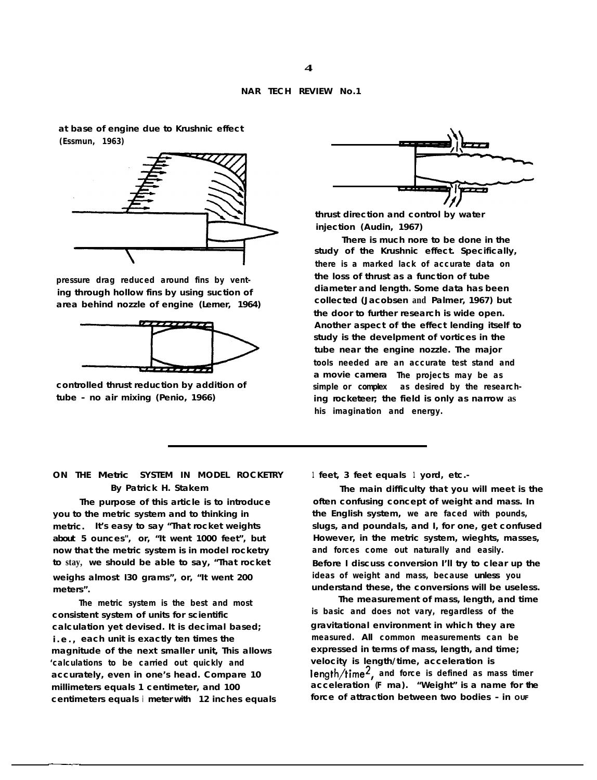## **NAR TECH REVIEW No.1**

**at base of engine due to Krushnic effect (Essmun, 1963)**



**pressure drag reduced around fins by venting through hollow fins by using suction of area behind nozzle of engine (Lerner, 1964)**



**controlled thrust reduction by addition of tube - no air mixing (Penio, 1966)**

**ON THE Metric SYSTEM IN MODEL ROCKETRY By Patrick H. Stakem**

**The purpose of this article is to introduce you to the metric system and to thinking in metric. It's easy to say "That rocket weights about 5 ounces", or, "It went 1000 feet", but now that the metric system is in model rocketry to stay, we should be able to say, "That rocket weighs almost I30 grams", or, "It went 200 meters".**

**The metric system is the best and most consistent system of units for scientific calculation yet devised. It is decimal based; i.e., each unit is exactly ten times the magnitude of the next smaller unit, This allows 'calculations to be carried out quickly and accurately, even in one's head. Compare 10 millimeters equals 1 centimeter, and 100 centimeters equals i meter with 12 inches equals**



**thrust direction and control by water injection (Audin, 1967)**

**There is much nore to be done in the study of the Krushnic effect. Specifically, there is a marked lack of accurate data on the loss of thrust as a function of tube diameter and length. Some data has been collected (Jacobsen and Palmer, 1967) but the door to further research is wide open. Another aspect of the effect lending itself to study is the develpment of vortices in the tube near the engine nozzle. The major tools needed are an accurate test stand and a movie camera The projects may be as** simple or complex as desired by the research**ing rocketeer; the field is only as narrow as his imagination and energy.**

**1 feet, 3 feet equals 1 yord, etc.-**

**The main difficulty that you will meet is the often confusing concept of weight and mass. In the English system, we are faced with pounds, slugs, and poundals, and I, for one, get confused However, in the metric system, wieghts, masses, and forces come out naturally and easily. Before I discuss conversion I'll try to clear up the ideas of weight and mass, because unless you understand these, the conversions will be useless.**

**The measurement of mass, length, and time is basic and does not vary, regardless of the gravitational environment in which they are measured. All common measurements can be expressed in terms of mass, length, and time; velocity is length/time, acceleration is length/time2, and force is defined as mass timer acceleration (F ma). "Weight" is a name for the force of attraction between two bodies - in OUF**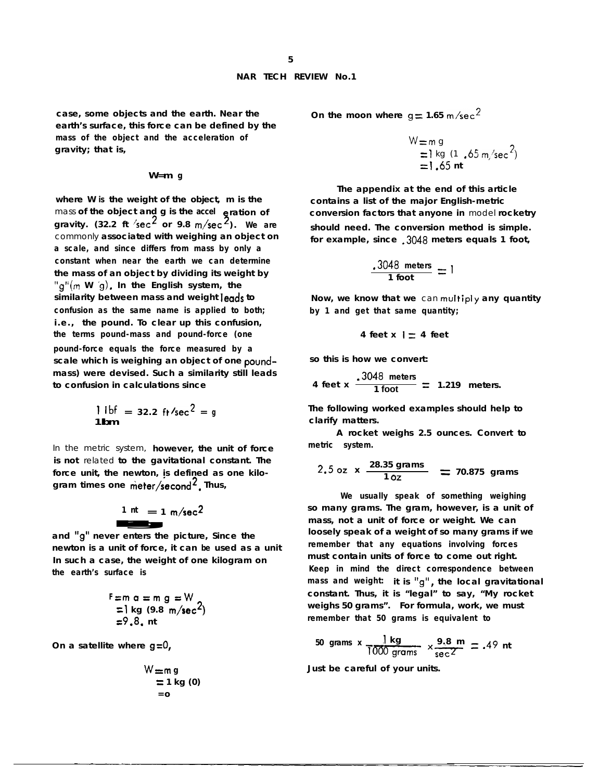**case, some objects and the earth. Near the earth's surface, this force can be defined by the mass of the object and the acceleration of gravity; that is,**

#### **W=m g**

**where W is the weight of the object, m is the** mass of the object and g is the accel **e**ration of **gravity. (32.2 ft /set\* or 9.8 m/set 3). We are** commonly **associated with weighing an object on a scale, and since differs from mass by only a constant when near the earth we can determine the mass of an object by dividing its weight by** "g"(m **W '9). In the English system, the similarity between mass and weight leads to confusion as the same name is applied to both; i.e., the pound. To clear up this confusion, the terms pound-mass and pound-force (one pound-force equals the force measured by a scale which is weighing an object of one poundmass) were devised. Such a similarity still leads to confusion in calculations since**

$$
\frac{1}{1} \text{ lbf} = 32.2 \text{ ft/sec}^2 = g
$$

In the metric system, **however, the unit of force is not** related **to the gavitational constant. The force unit, the newton, is defined as one kilogram times one meter/second2. Thus,**  $\frac{1}{2}$  ne meter/s<br>  $\frac{1}{2}$  nt = 1<br>  $\frac{1}{2}$  er enters the

$$
\frac{1 \text{ nt}}{1} = 1 \text{ m/sec}^2
$$

**and "g" never enters the picture, Since the newton is a unit of force, it can be used as a unit In such a case, the weight of one kilogram on the earth's surface is**

$$
F = m \space a = m \space g = W
$$
  
=  $l \space kg \space (9.8 \space m/sec2)$   
=  $9.8$  nt

**On a satellite where g=O,**

$$
W = m g
$$
  
= 1 kg (0)  
= 0

On the moon where  $g = 1.65$  m/sec<sup>2</sup>

$$
W = m g
$$
  
= 1 kg (1 .65 m/sec<sup>2</sup>)  
= 1.65 nt

**The appendix at the end of this article contains a list of the major English-metric conversion factors that anyone in** model **rocketry should need. The conversion method is simple. for example, since .3048 meters equals 1 foot,**

$$
\frac{.3048 \text{ meters}}{1 \text{ foot}} = 1
$$

**Now, we know that we** can multiply **any quantity by 1 and get that same quantity;**

$$
4 \text{ feet } x \mid \equiv 4 \text{ feet}
$$

**so this is how we convert: Contract** 

4 feet x 
$$
\frac{.3048 \text{ meters}}{1 \text{ foot}}
$$
 = 1.219 meters.

**The following worked examples should help to clarify matters.**

**A rocket weighs 2.5 ounces. Convert to metric system.**

2.5 oz x 
$$
\frac{28.35 \text{ grams}}{1 \text{ oz}}
$$
 = 70.875 grams

**We usually speak of something weighing so many grams. The gram, however, is a unit of mass, not a unit of force or weight. We can loosely speak of a weight of so many grams if we remember that any equations involving forces must contain units of force to come out right. Keep in mind the direct correspondence between mass and weight: it is "g", the local gravitational constant. Thus, it is "legal" to say, "My rocket weighs 50 grams". For formula, work, we must remember that 50 grams is equivalent to Solution**<br> **Columpt**<br> **Columpt**<br> **Columptif**<br> **Columptif**<br> **Columpt**<br> **Columptiff**<br> **Columptiff**<br> **Columpt**<br> **Columpt**<br> **Columpt**<br> **Columpt**<br> **Columpt**<br> **Columpt**<br> **Columpt**<br> **Columpt**<br> **Columpt**<br> **Columpt**<br> **Columpt**<br> **C** 

50 grams x 
$$
\frac{1 \text{ kg}}{1000 \text{ grams}}
$$
 x  $\frac{9.8 \text{ m}}{\text{sec}^2}$  = .49 nt

**Just be careful of your units.**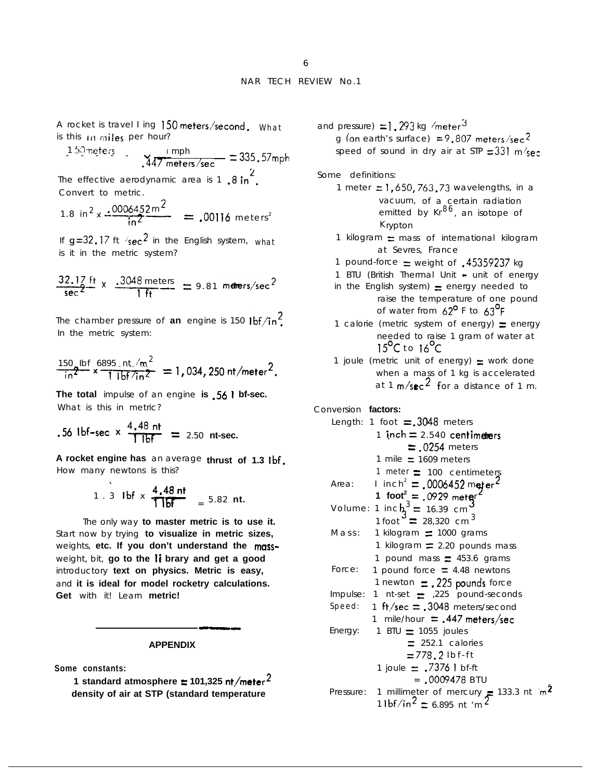A rocket is travel I ing 150 meters/second. What<br>is this in miles per hour?<br> $\frac{1.50 \text{ meters}}{1.47 \text{ meters/sec}} = 335.57 \text{m}$ is this  $10$  miles per hour?

$$
\frac{1.50 \text{ meters}}{447 \text{ meters/sec}} = 335.57 \text{ mph}
$$

The effective aerodynamic area is 1,  $8 \text{ in}^2$ . Convert to metric.

1.8 in<sup>2</sup> x 
$$
\frac{.0006452 \text{ m}^2}{\text{ln}^2}
$$
 = .00116 meters<sup>2</sup>

If  $g=32.17$  ft  $\text{/sec}^2$  in the English system, what is it in the metric system?

$$
\frac{32.17 \text{ ft}}{\text{sec}^2} \times \frac{.3048 \text{ meters}}{1 \text{ ft}} = 9.81 \text{ meters/sec}^2
$$

The chamber pressure of **an** engine is 150  $1^\circ$ In the metric system:

$$
\frac{150}{\ln^2} \times \frac{16895 \text{ Int.} / \text{m}^2}{1 \text{ lbf/in2}} = 1,034,250 \text{ nt/meter}^2.
$$

**The total** impulse of an engine **is .56 1 bf-sec.** What is this in metric?

.56 lbf-sec x 
$$
\frac{4.48 \text{ nt}}{1 \text{ lbf}}
$$
 = 2.50 nt-sec.

 $\ddot{\phantom{0}}$ 

**A rocket engine has** an average **thrust of 1.3 tbf.** How many newtons is this?

1. 3 lbf x 
$$
\frac{4.48 \text{ nt}}{1 \text{ lbf}}
$$
 = 5.82 nt.

The only way **to master metric is to use it.** Start now by trying **to visualize in metric sizes,** weights, etc. If you don't understand the massweight, bit, **go to the Ii brary and get a good** introductory **text on physics. Metric is easy,** and **it is ideal for model rocketry calculations. Get** with it! Learn **metric!**

#### **APPENDIX**

**Some constants:**

**1 standard atmosphere**  $\equiv$  **101,325 nt/meter<sup>2</sup> density of air at STP (standard temperature**

and pressure)  $=1.293$  kg /meter<sup>3</sup> g (on earth's surface) = 9.807 meters/sec<sup>2</sup> speed of sound in dry air at STP  $=331$  m/sec

Some definitions:

- 1 meter  $= 1,650,763,73$  wavelengths, in a vacuum, of a certain radiation emitted by  $Kr^{86}$ , an isotope of K rypton
- 1 kilogram  $\equiv$  mass of international kilogram at Sevres, France
- 1 pound-force  $=$  weight of  $.45359237$  kg
- 1 BTU (British Thermal Unit unit of energy
- in the English system)  $=$  energy needed to raise the temperature of one pound of water from  $62^{\circ}$  F to  $63^{\circ}$ F
- 1 calorie (metric system of energy)  $\equiv$  energy needed to raise 1 gram of water at  $15^{\circ}$ C to  $16^{\circ}$ C
- 1 joule (metric unit of energy)  $=$  work done when a mass of 1 kg is accelerated at 1  $m/s$ ec<sup>2</sup> for a distance of 1 m.

Conversion **factors:**

```
Length: 1 foot = .3048 meters
           1 inch = 2.540 centimeters
                   = .0254 meters
           1 mile \equiv 1609 meters
           1 meter = 100 centimeters
           I inch^2 = 0006452 meter ^2Area:
           1 foot<sup>2</sup> = .0929 meter<sup>2</sup>
                   \frac{3}{3} = .0929 meters
Volume: 1 inch_3^3 = 16.39 cm<sup>3</sup>
           1 foot 228,320 cm 3Mass: 1 kilogram \equiv 1000 grams
           1 kilogram \equiv 2.20 pounds mass
          1 pound mass \equiv 453.6 grams
Force: 1 pound force \equiv 4.48 newtons
          1 newton \equiv 225 pounds force
Impulse: 1 nt-set \equiv ,225 pound-seconds
Speed: 1 ft/sec = .3048 meters/second
          1 mile/hour \equiv .447 meters/sec
Energy: 1 \text{ BTU} = 1055 \text{ joules}= 252.1 calories
                   =778.2 Ibf-ft
           1 joule \equiv .7376 I bf-ft
                    = .0009478 BTU
Pressure: 1 millimeter of mercury = 133.3 nt m^21 Ibf/in<sup>2</sup> = 6.895 nt 'm<sup>2</sup>
```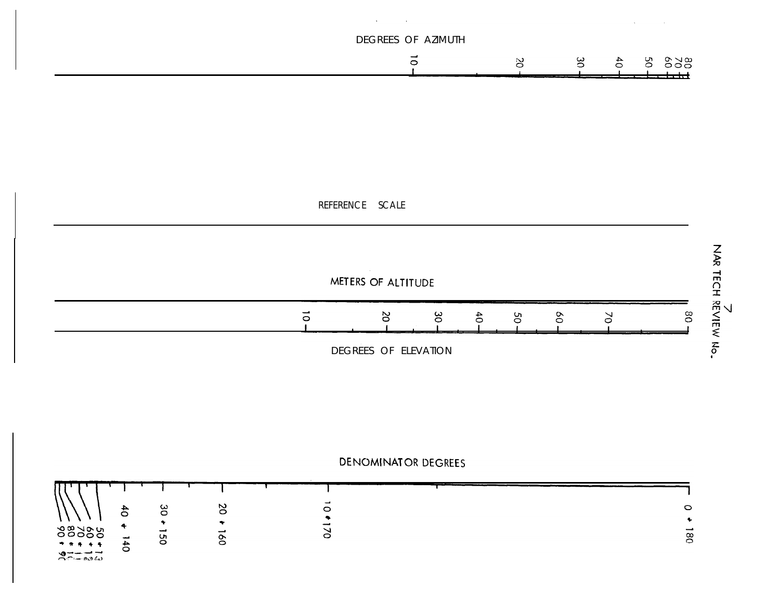



 $39 - 104$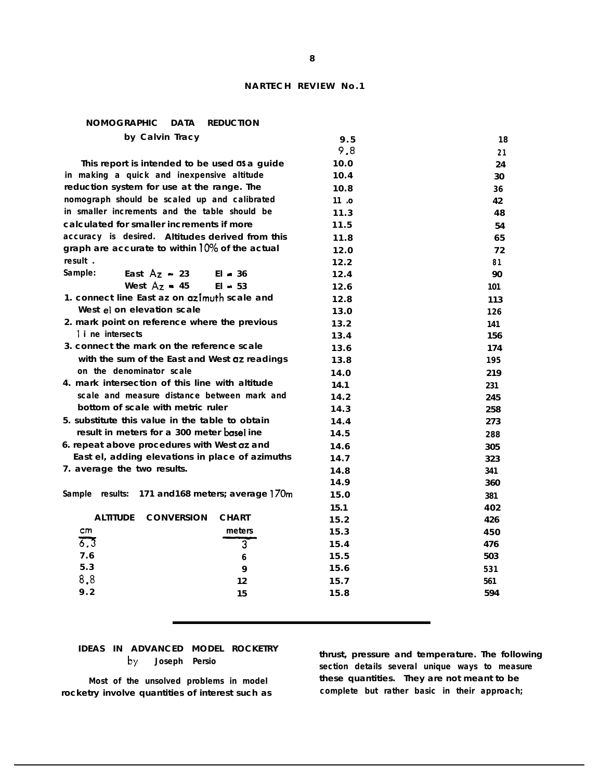# **NARTECH REVIEW No.1**

# **NOMOGRAPHIC DATA REDUCTION by Calvin Tracy**

| 9.5  | 18                          |
|------|-----------------------------|
|      | 21                          |
| 10.0 | 24                          |
| 10.4 | 30                          |
| 10.8 | 36                          |
| 11.0 | 42                          |
| 11.3 | 48                          |
| 11.5 | 54                          |
| 11.8 | 65                          |
| 12.0 | 72                          |
| 12.2 | 81                          |
| 12.4 | 90                          |
| 12.6 | 101                         |
| 12.8 | 113                         |
| 13.0 | 126                         |
| 13.2 | 141                         |
| 13.4 | 156                         |
| 13.6 | 174                         |
| 13.8 | 195                         |
| 14.0 | 219                         |
| 14.1 | 231                         |
| 14.2 | 245                         |
|      | 258                         |
| 14.4 | 273                         |
| 14.5 | 288                         |
| 14.6 | 305                         |
|      | 323                         |
| 14.8 | 341                         |
|      | 360                         |
| 15.0 | 381                         |
| 15.1 | 402                         |
| 15.2 | 426                         |
| 15.3 | 450                         |
| 15.4 | 476                         |
| 15.5 | 503                         |
| 15.6 | 531                         |
| 15.7 | 561                         |
| 15.8 | 594                         |
|      | 9.8<br>14.3<br>14.7<br>14.9 |

# **IDEAS IN ADVANCED MODEL ROCKETRY b\/ Joseph Persio**

**Most of the unsolved problems in model rocketry involve quantities of interest such as** **thrust, pressure and temperature. The following section details several unique ways to measure these quantities. They are not meant to be complete but rather basic in their approach;**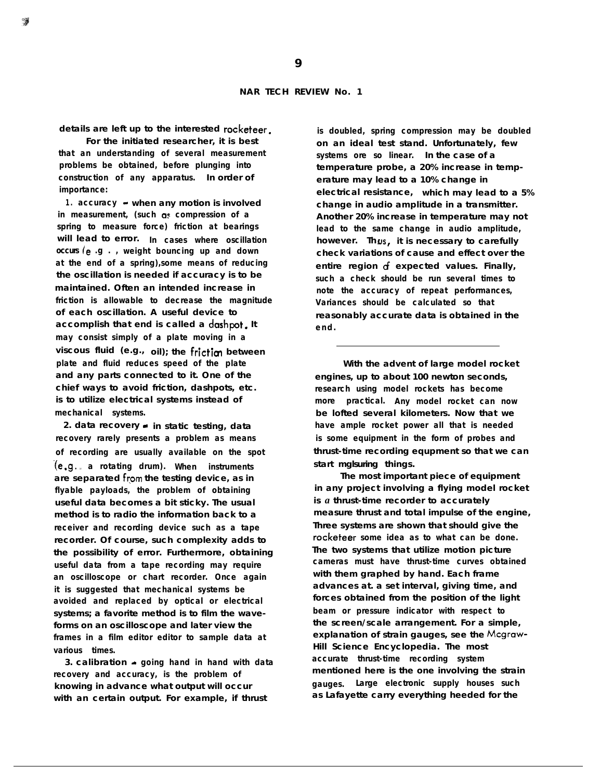**details are left up to the interested racketeer.**

**For the initiated researcher, it is best that an understanding of several measurement problems be obtained, before plunging into construction of any apparatus. In order of importance:**

**1 . accuracy - when any motion is involved in measurement, (such as compression of a spring to measure force) friction at bearings will lead to error. In cases where oscillation occurs (e .g . , weight bouncing up and down at the end of a spring),some means of reducing the oscillation is needed if accuracy is to be maintained. Often an intended increase in friction is allowable to decrease the magnitude of each oscillation. A useful device to** accomplish that end is called a dashpot. It **may consist simply of a plate moving in a viscous fluid (e.g., oil); the friction between plate and fluid reduces speed of the plate and any parts connected to it. One of the chief ways to avoid friction, dashpots, etc. is to utilize electrical systems instead of mechanical systems.**

**2. data recovery - in static testing, data recovery rarely presents a problem as means of recording are usually available on the spot** ( e .g l , **a rotating drum). When instruments are separated from the testing device, as in flyable payloads, the problem of obtaining useful data becomes a bit sticky. The usual method is to radio the information back to a receiver and recording device such as a tape recorder. Of course, such complexity adds to the possibility of error. Furthermore, obtaining useful data from a tape recording may require an oscilloscope or chart recorder. Once again it is suggested that mechanical systems be avoided and replaced by optical or electrical systems; a favorite method is to film the waveforms on an oscilloscope and later view the frames in a film editor editor to sample data at various times.**

**3. calibration - going hand in hand with data recovery and accuracy, is the problem of knowing in advance what output will occur with an certain output. For example, if thrust**

**is doubled, spring compression may be doubled on an ideal test stand. Unfortunately, few systems ore so linear. In the case of a temperature probe, a 20% increase in temperature may lead to a 10% change in electrical resistance, which may lead to a 5% change in audio amplitude in a transmitter. Another 20% increase in temperature may not lead to the same change in audio amplitude, however. Th us it is necessary to carefully check variations of cause and effect over the entire region of expected values. Finally, such a check should be run several times to note the accuracy of repeat performances, Variances should be calculated so that reasonably accurate data is obtained in the end.**

**With the advent of large model rocket engines, up to about 100 newton seconds, research using model rockets has become more practical. Any model rocket can now be lofted several kilometers. Now that we have ample rocket power all that is needed is some equipment in the form of probes and thrust-time recording equpment so that we can start mglsuring things.**

**The most important piece of equipment in any project involving a flying model rocket is** *a* **thrust-time recorder to accurately measure thrust and total impulse of the engine, Three systems are shown that should give the rocketeer some idea as to what can be done. The two systems that utilize motion picture cameras must have thrust-time curves obtained with them graphed by hand. Each frame advances at. a set interval, giving time, and forces obtained from the position of the light beam or pressure indicator with respect to the screen/scale arrangement. For a simple, explanation of strain gauges, see the Mcgraw-Hill Science Encyclopedia. The most accurate thrust-time recording system mentioned here is the one involving the strain gauges. Large electronic supply houses such as Lafayette carry everything heeded for the**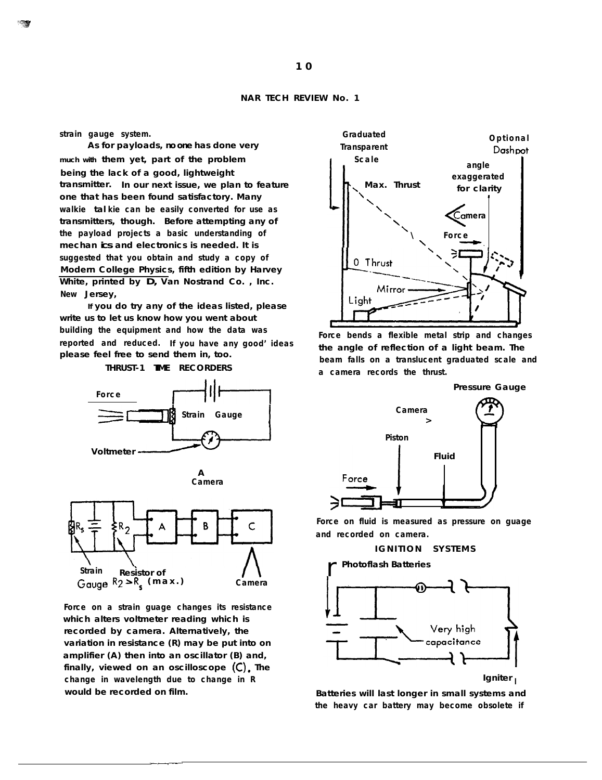**strain gauge system.**

**As for payloads, no one has done very much with them yet, part of the problem being the lack of a good, lightweight transmitter. In our next issue, we plan to feature one that has been found satisfactory. Many walkie tal kie can be easily converted for use as transmitters, though. Before attempting any of the payload projects a basic understanding of mechan ics and electronics is needed. It is suggested that you obtain and study a copy of Modern College Physics, fifth edition by Harvey White, printed by D, Van Nostrand Co. , Inc. New Jersey,**

**If you do try any of the ideas listed, please write us to let us know how you went about building the equipment and how the data was reported and reduced. If you have any good' ideas please feel free to send them in, too.**









**Force on a strain guage changes its resistance which alters voltmeter reading which is recorded by camera. Alternatively, the variation in resistance (R) may be put into on amplifier (A) then into an oscillator (B) and, finally, viewed on an oscilloscope (C). The change in wavelength due to change in R would be recorded on film.**



**Force bends a flexible metal strip and changes the angle of reflection of a light beam. The beam falls on a translucent graduated scale and a camera records the thrust.**

**Pressure Gauge**



**Force on fluid is measured as pressure on guage and recorded on camera.**



r **Photoflash Batteries**



**Batteries will last longer in small systems and the heavy car battery may become obsolete if**